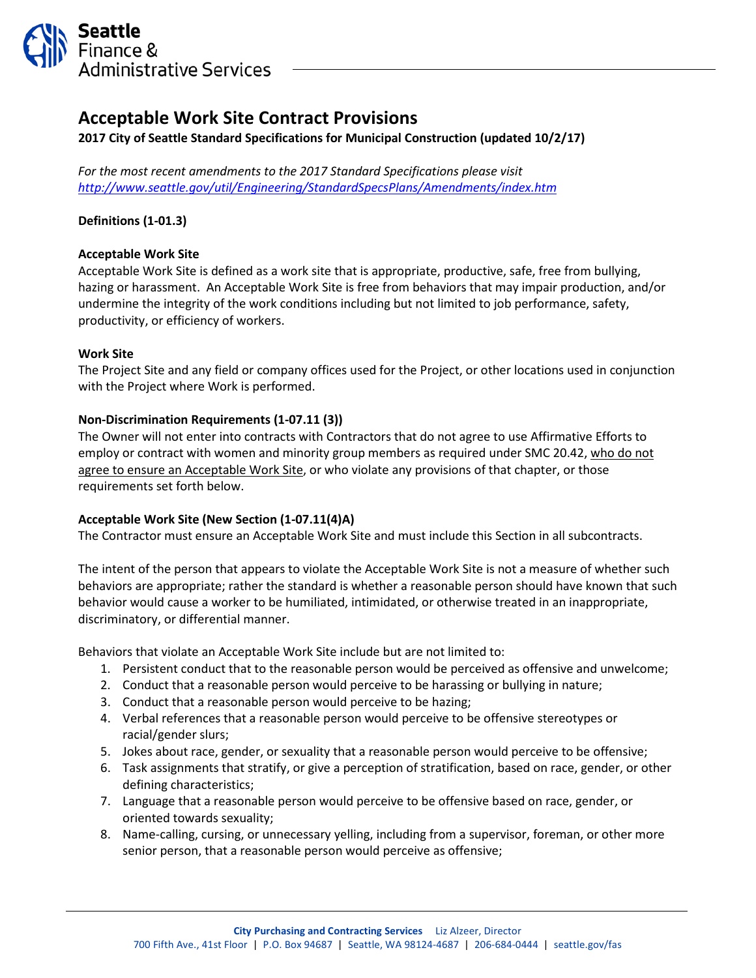

# **Acceptable Work Site Contract Provisions**

**2017 City of Seattle Standard Specifications for Municipal Construction (updated 10/2/17)**

*For the most recent amendments to the 2017 Standard Specifications please visit <http://www.seattle.gov/util/Engineering/StandardSpecsPlans/Amendments/index.htm>*

# **Definitions (1-01.3)**

# **Acceptable Work Site**

Acceptable Work Site is defined as a work site that is appropriate, productive, safe, free from bullying, hazing or harassment. An Acceptable Work Site is free from behaviors that may impair production, and/or undermine the integrity of the work conditions including but not limited to job performance, safety, productivity, or efficiency of workers.

#### **Work Site**

The Project Site and any field or company offices used for the Project, or other locations used in conjunction with the Project where Work is performed.

# **Non-Discrimination Requirements (1-07.11 (3))**

The Owner will not enter into contracts with Contractors that do not agree to use Affirmative Efforts to employ or contract with women and minority group members as required under SMC 20.42, who do not agree to ensure an Acceptable Work Site, or who violate any provisions of that chapter, or those requirements set forth below.

# **Acceptable Work Site (New Section (1-07.11(4)A)**

The Contractor must ensure an Acceptable Work Site and must include this Section in all subcontracts.

The intent of the person that appears to violate the Acceptable Work Site is not a measure of whether such behaviors are appropriate; rather the standard is whether a reasonable person should have known that such behavior would cause a worker to be humiliated, intimidated, or otherwise treated in an inappropriate, discriminatory, or differential manner.

Behaviors that violate an Acceptable Work Site include but are not limited to:

- 1. Persistent conduct that to the reasonable person would be perceived as offensive and unwelcome;
- 2. Conduct that a reasonable person would perceive to be harassing or bullying in nature;
- 3. Conduct that a reasonable person would perceive to be hazing;
- 4. Verbal references that a reasonable person would perceive to be offensive stereotypes or racial/gender slurs;
- 5. Jokes about race, gender, or sexuality that a reasonable person would perceive to be offensive;
- 6. Task assignments that stratify, or give a perception of stratification, based on race, gender, or other defining characteristics;
- 7. Language that a reasonable person would perceive to be offensive based on race, gender, or oriented towards sexuality;
- 8. Name-calling, cursing, or unnecessary yelling, including from a supervisor, foreman, or other more senior person, that a reasonable person would perceive as offensive;